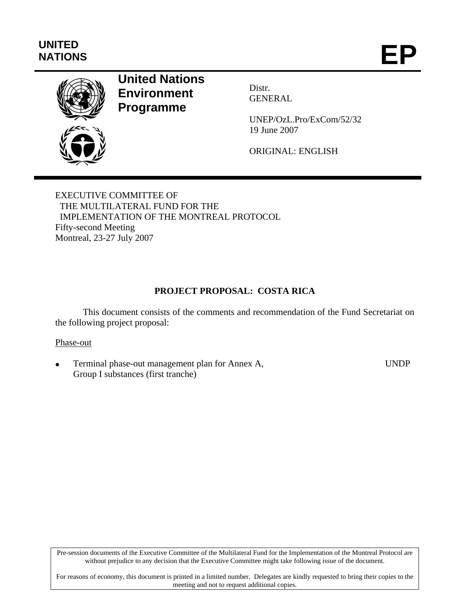# **UNITED**  UNITED<br>NATIONS **EP**



# **United Nations Environment Programme**

Distr. GENERAL

UNEP/OzL.Pro/ExCom/52/32 19 June 2007

ORIGINAL: ENGLISH

EXECUTIVE COMMITTEE OF THE MULTILATERAL FUND FOR THE IMPLEMENTATION OF THE MONTREAL PROTOCOL Fifty-second Meeting Montreal, 23-27 July 2007

## **PROJECT PROPOSAL: COSTA RICA**

This document consists of the comments and recommendation of the Fund Secretariat on the following project proposal:

#### Phase-out

• Terminal phase-out management plan for Annex A, Group I substances (first tranche) UNDP

Pre-session documents of the Executive Committee of the Multilateral Fund for the Implementation of the Montreal Protocol are without prejudice to any decision that the Executive Committee might take following issue of the document.

For reasons of economy, this document is printed in a limited number. Delegates are kindly requested to bring their copies to the meeting and not to request additional copies.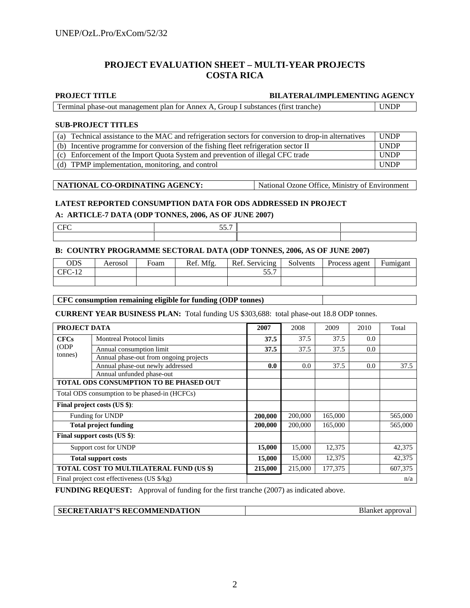#### **PROJECT EVALUATION SHEET – MULTI-YEAR PROJECTS COSTA RICA**

#### **PROJECT TITLE BILATERAL/IMPLEMENTING AGENCY**

| Terminal phase-out management plan for Annex A, Group I substances (first tranche) | <b>UNDP</b> |
|------------------------------------------------------------------------------------|-------------|
|                                                                                    |             |

#### **SUB-PROJECT TITLES**

| (a) Technical assistance to the MAC and refrigeration sectors for conversion to drop-in alternatives | <b>UNDP</b> |
|------------------------------------------------------------------------------------------------------|-------------|
| (b) Incentive programme for conversion of the fishing fleet refrigeration sector II                  | <b>UNDP</b> |
| (c) Enforcement of the Import Quota System and prevention of illegal CFC trade                       | <b>UNDP</b> |
| (d) TPMP implementation, monitoring, and control                                                     | <b>UNDP</b> |

| NATIONAL CO-ORDINATING AGENCY: | • National Ozone Office, Ministry of Environment |
|--------------------------------|--------------------------------------------------|

#### **LATEST REPORTED CONSUMPTION DATA FOR ODS ADDRESSED IN PROJECT**

#### **A: ARTICLE-7 DATA (ODP TONNES, 2006, AS OF JUNE 2007)**

| $ -$ |  |
|------|--|
|      |  |

#### **B: COUNTRY PROGRAMME SECTORAL DATA (ODP TONNES, 2006, AS OF JUNE 2007)**

| ODS      | Aerosol | Foam | Ref. Mfg. | Ref. Servicing | Solvents | Process agent | Fumigant |
|----------|---------|------|-----------|----------------|----------|---------------|----------|
| $CFC-12$ |         |      |           | 55 7<br>JJ.I   |          |               |          |
|          |         |      |           |                |          |               |          |

#### **CFC consumption remaining eligible for funding (ODP tonnes)**

**CURRENT YEAR BUSINESS PLAN:** Total funding US \$303,688: total phase-out 18.8 ODP tonnes.

|                            | PROJECT DATA                                  |         |         | 2009    | 2010 | Total   |
|----------------------------|-----------------------------------------------|---------|---------|---------|------|---------|
| <b>CFCs</b>                | <b>Montreal Protocol limits</b>               | 37.5    | 37.5    | 37.5    | 0.0  |         |
| (ODP)                      | Annual consumption limit                      | 37.5    | 37.5    | 37.5    | 0.0  |         |
| tonnes)                    | Annual phase-out from ongoing projects        |         |         |         |      |         |
|                            | Annual phase-out newly addressed              | 0.0     | 0.0     | 37.5    | 0.0  | 37.5    |
|                            | Annual unfunded phase-out                     |         |         |         |      |         |
|                            | TOTAL ODS CONSUMPTION TO BE PHASED OUT        |         |         |         |      |         |
|                            | Total ODS consumption to be phased-in (HCFCs) |         |         |         |      |         |
|                            | Final project costs (US \$):                  |         |         |         |      |         |
|                            | Funding for UNDP                              | 200,000 | 200,000 | 165,000 |      | 565,000 |
|                            | <b>Total project funding</b>                  | 200,000 | 200,000 | 165,000 |      | 565,000 |
|                            | Final support costs (US \$):                  |         |         |         |      |         |
| Support cost for UNDP      |                                               | 15,000  | 15,000  | 12,375  |      | 42,375  |
| <b>Total support costs</b> |                                               | 15,000  | 15,000  | 12,375  |      | 42,375  |
|                            | TOTAL COST TO MULTILATERAL FUND (US \$)       | 215,000 | 215,000 | 177,375 |      | 607,375 |
|                            | Final project cost effectiveness (US \$/kg)   |         |         |         | n/a  |         |

**FUNDING REQUEST:** Approval of funding for the first tranche (2007) as indicated above.

| SECRETARIAT'S RECOMMENDATION | Blanket approval |
|------------------------------|------------------|
|                              |                  |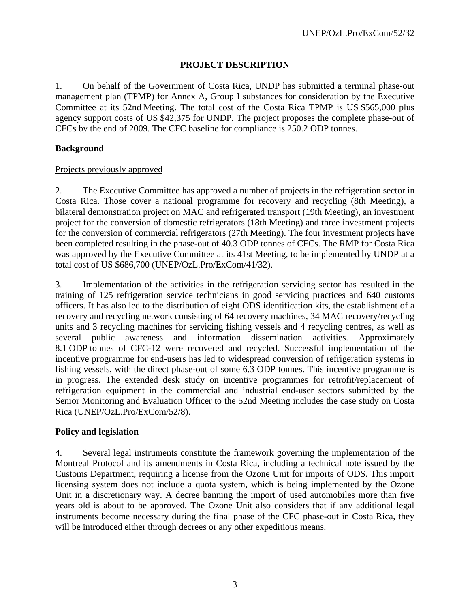## **PROJECT DESCRIPTION**

1. On behalf of the Government of Costa Rica, UNDP has submitted a terminal phase-out management plan (TPMP) for Annex A, Group I substances for consideration by the Executive Committee at its 52nd Meeting. The total cost of the Costa Rica TPMP is US \$565,000 plus agency support costs of US \$42,375 for UNDP. The project proposes the complete phase-out of CFCs by the end of 2009. The CFC baseline for compliance is 250.2 ODP tonnes.

## **Background**

#### Projects previously approved

2. The Executive Committee has approved a number of projects in the refrigeration sector in Costa Rica. Those cover a national programme for recovery and recycling (8th Meeting), a bilateral demonstration project on MAC and refrigerated transport (19th Meeting), an investment project for the conversion of domestic refrigerators (18th Meeting) and three investment projects for the conversion of commercial refrigerators (27th Meeting). The four investment projects have been completed resulting in the phase-out of 40.3 ODP tonnes of CFCs. The RMP for Costa Rica was approved by the Executive Committee at its 41st Meeting, to be implemented by UNDP at a total cost of US \$686,700 (UNEP/OzL.Pro/ExCom/41/32).

3. Implementation of the activities in the refrigeration servicing sector has resulted in the training of 125 refrigeration service technicians in good servicing practices and 640 customs officers. It has also led to the distribution of eight ODS identification kits, the establishment of a recovery and recycling network consisting of 64 recovery machines, 34 MAC recovery/recycling units and 3 recycling machines for servicing fishing vessels and 4 recycling centres, as well as several public awareness and information dissemination activities. Approximately 8.1 ODP tonnes of CFC-12 were recovered and recycled. Successful implementation of the incentive programme for end-users has led to widespread conversion of refrigeration systems in fishing vessels, with the direct phase-out of some 6.3 ODP tonnes. This incentive programme is in progress. The extended desk study on incentive programmes for retrofit/replacement of refrigeration equipment in the commercial and industrial end-user sectors submitted by the Senior Monitoring and Evaluation Officer to the 52nd Meeting includes the case study on Costa Rica (UNEP/OzL.Pro/ExCom/52/8).

#### **Policy and legislation**

4. Several legal instruments constitute the framework governing the implementation of the Montreal Protocol and its amendments in Costa Rica, including a technical note issued by the Customs Department, requiring a license from the Ozone Unit for imports of ODS. This import licensing system does not include a quota system, which is being implemented by the Ozone Unit in a discretionary way. A decree banning the import of used automobiles more than five years old is about to be approved. The Ozone Unit also considers that if any additional legal instruments become necessary during the final phase of the CFC phase-out in Costa Rica, they will be introduced either through decrees or any other expeditious means.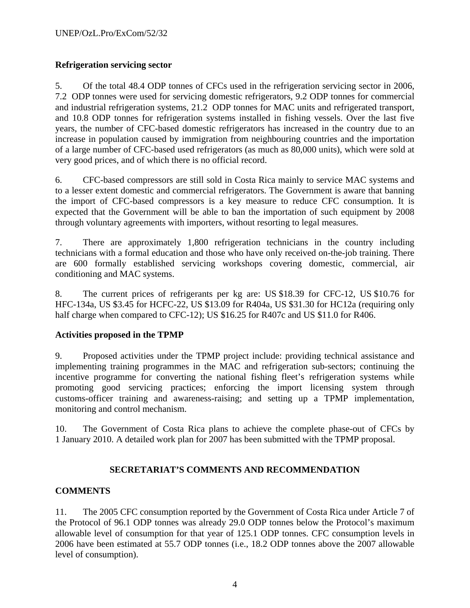## **Refrigeration servicing sector**

5. Of the total 48.4 ODP tonnes of CFCs used in the refrigeration servicing sector in 2006, 7.2 ODP tonnes were used for servicing domestic refrigerators, 9.2 ODP tonnes for commercial and industrial refrigeration systems, 21.2 ODP tonnes for MAC units and refrigerated transport, and 10.8 ODP tonnes for refrigeration systems installed in fishing vessels. Over the last five years, the number of CFC-based domestic refrigerators has increased in the country due to an increase in population caused by immigration from neighbouring countries and the importation of a large number of CFC-based used refrigerators (as much as 80,000 units), which were sold at very good prices, and of which there is no official record.

6. CFC-based compressors are still sold in Costa Rica mainly to service MAC systems and to a lesser extent domestic and commercial refrigerators. The Government is aware that banning the import of CFC-based compressors is a key measure to reduce CFC consumption. It is expected that the Government will be able to ban the importation of such equipment by 2008 through voluntary agreements with importers, without resorting to legal measures.

7. There are approximately 1,800 refrigeration technicians in the country including technicians with a formal education and those who have only received on-the-job training. There are 600 formally established servicing workshops covering domestic, commercial, air conditioning and MAC systems.

8. The current prices of refrigerants per kg are: US \$18.39 for CFC-12, US \$10.76 for HFC-134a, US \$3.45 for HCFC-22, US \$13.09 for R404a, US \$31.30 for HC12a (requiring only half charge when compared to CFC-12); US \$16.25 for R407c and US \$11.0 for R406.

## **Activities proposed in the TPMP**

9. Proposed activities under the TPMP project include: providing technical assistance and implementing training programmes in the MAC and refrigeration sub-sectors; continuing the incentive programme for converting the national fishing fleet's refrigeration systems while promoting good servicing practices; enforcing the import licensing system through customs-officer training and awareness-raising; and setting up a TPMP implementation, monitoring and control mechanism.

10. The Government of Costa Rica plans to achieve the complete phase-out of CFCs by 1 January 2010. A detailed work plan for 2007 has been submitted with the TPMP proposal.

## **SECRETARIAT'S COMMENTS AND RECOMMENDATION**

## **COMMENTS**

11. The 2005 CFC consumption reported by the Government of Costa Rica under Article 7 of the Protocol of 96.1 ODP tonnes was already 29.0 ODP tonnes below the Protocol's maximum allowable level of consumption for that year of 125.1 ODP tonnes. CFC consumption levels in 2006 have been estimated at 55.7 ODP tonnes (i.e., 18.2 ODP tonnes above the 2007 allowable level of consumption).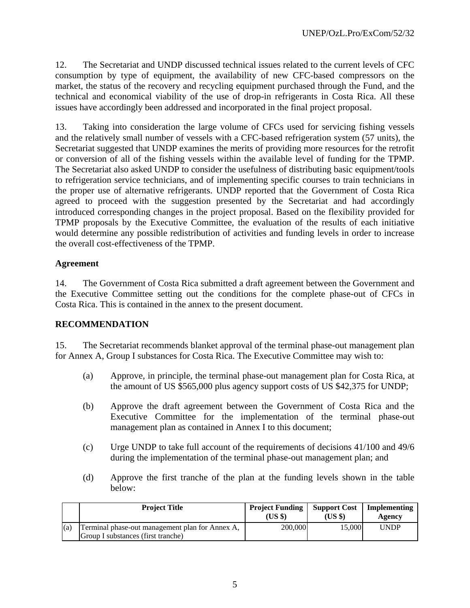12. The Secretariat and UNDP discussed technical issues related to the current levels of CFC consumption by type of equipment, the availability of new CFC-based compressors on the market, the status of the recovery and recycling equipment purchased through the Fund, and the technical and economical viability of the use of drop-in refrigerants in Costa Rica. All these issues have accordingly been addressed and incorporated in the final project proposal.

13. Taking into consideration the large volume of CFCs used for servicing fishing vessels and the relatively small number of vessels with a CFC-based refrigeration system (57 units), the Secretariat suggested that UNDP examines the merits of providing more resources for the retrofit or conversion of all of the fishing vessels within the available level of funding for the TPMP. The Secretariat also asked UNDP to consider the usefulness of distributing basic equipment/tools to refrigeration service technicians, and of implementing specific courses to train technicians in the proper use of alternative refrigerants. UNDP reported that the Government of Costa Rica agreed to proceed with the suggestion presented by the Secretariat and had accordingly introduced corresponding changes in the project proposal. Based on the flexibility provided for TPMP proposals by the Executive Committee, the evaluation of the results of each initiative would determine any possible redistribution of activities and funding levels in order to increase the overall cost-effectiveness of the TPMP.

### **Agreement**

14. The Government of Costa Rica submitted a draft agreement between the Government and the Executive Committee setting out the conditions for the complete phase-out of CFCs in Costa Rica. This is contained in the annex to the present document.

## **RECOMMENDATION**

15. The Secretariat recommends blanket approval of the terminal phase-out management plan for Annex A, Group I substances for Costa Rica. The Executive Committee may wish to:

- (a) Approve, in principle, the terminal phase-out management plan for Costa Rica, at the amount of US \$565,000 plus agency support costs of US \$42,375 for UNDP;
- (b) Approve the draft agreement between the Government of Costa Rica and the Executive Committee for the implementation of the terminal phase-out management plan as contained in Annex I to this document;
- (c) Urge UNDP to take full account of the requirements of decisions 41/100 and 49/6 during the implementation of the terminal phase-out management plan; and
- (d) Approve the first tranche of the plan at the funding levels shown in the table below:

|     | <b>Project Title</b>                                                                  | <b>Project Funding</b><br>(USS) | <b>Support Cost</b><br>(USS) | Implementing<br>Agency |
|-----|---------------------------------------------------------------------------------------|---------------------------------|------------------------------|------------------------|
| (a) | Terminal phase-out management plan for Annex A,<br>Group I substances (first tranche) | 200,000                         | 15.000                       | <b>UNDP</b>            |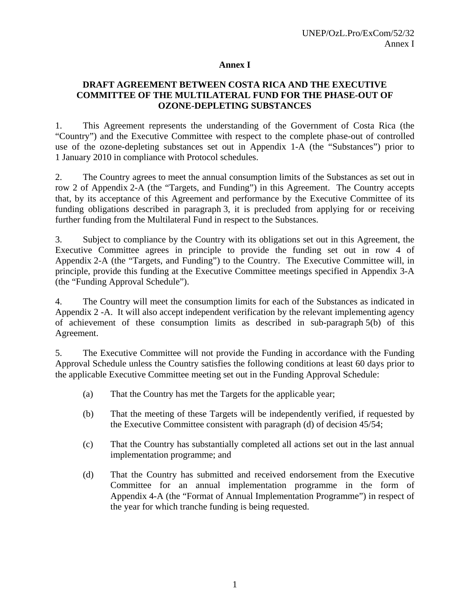#### **Annex I**

## **DRAFT AGREEMENT BETWEEN COSTA RICA AND THE EXECUTIVE COMMITTEE OF THE MULTILATERAL FUND FOR THE PHASE-OUT OF OZONE-DEPLETING SUBSTANCES**

1. This Agreement represents the understanding of the Government of Costa Rica (the "Country") and the Executive Committee with respect to the complete phase-out of controlled use of the ozone-depleting substances set out in Appendix 1-A (the "Substances") prior to 1 January 2010 in compliance with Protocol schedules.

2. The Country agrees to meet the annual consumption limits of the Substances as set out in row 2 of Appendix 2-A (the "Targets, and Funding") in this Agreement. The Country accepts that, by its acceptance of this Agreement and performance by the Executive Committee of its funding obligations described in paragraph 3, it is precluded from applying for or receiving further funding from the Multilateral Fund in respect to the Substances.

3. Subject to compliance by the Country with its obligations set out in this Agreement, the Executive Committee agrees in principle to provide the funding set out in row 4 of Appendix 2-A (the "Targets, and Funding") to the Country. The Executive Committee will, in principle, provide this funding at the Executive Committee meetings specified in Appendix 3-A (the "Funding Approval Schedule").

4. The Country will meet the consumption limits for each of the Substances as indicated in Appendix 2 -A. It will also accept independent verification by the relevant implementing agency of achievement of these consumption limits as described in sub-paragraph 5(b) of this Agreement.

5. The Executive Committee will not provide the Funding in accordance with the Funding Approval Schedule unless the Country satisfies the following conditions at least 60 days prior to the applicable Executive Committee meeting set out in the Funding Approval Schedule:

- (a) That the Country has met the Targets for the applicable year;
- (b) That the meeting of these Targets will be independently verified, if requested by the Executive Committee consistent with paragraph (d) of decision 45/54;
- (c) That the Country has substantially completed all actions set out in the last annual implementation programme; and
- (d) That the Country has submitted and received endorsement from the Executive Committee for an annual implementation programme in the form of Appendix 4-A (the "Format of Annual Implementation Programme") in respect of the year for which tranche funding is being requested.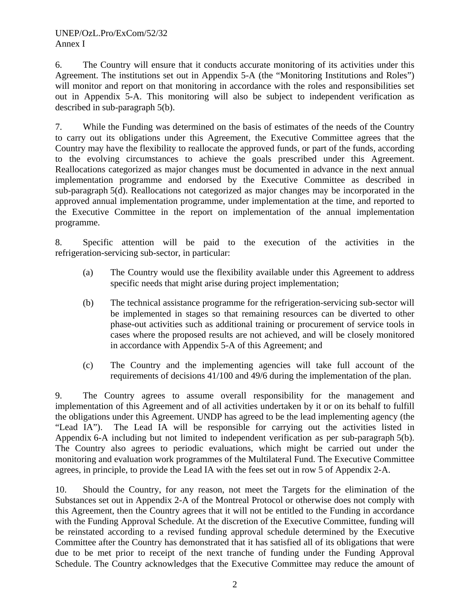6. The Country will ensure that it conducts accurate monitoring of its activities under this Agreement. The institutions set out in Appendix 5-A (the "Monitoring Institutions and Roles") will monitor and report on that monitoring in accordance with the roles and responsibilities set out in Appendix 5-A. This monitoring will also be subject to independent verification as described in sub-paragraph 5(b).

7. While the Funding was determined on the basis of estimates of the needs of the Country to carry out its obligations under this Agreement, the Executive Committee agrees that the Country may have the flexibility to reallocate the approved funds, or part of the funds, according to the evolving circumstances to achieve the goals prescribed under this Agreement. Reallocations categorized as major changes must be documented in advance in the next annual implementation programme and endorsed by the Executive Committee as described in sub-paragraph 5(d). Reallocations not categorized as major changes may be incorporated in the approved annual implementation programme, under implementation at the time, and reported to the Executive Committee in the report on implementation of the annual implementation programme.

8. Specific attention will be paid to the execution of the activities in the refrigeration-servicing sub-sector, in particular:

- (a) The Country would use the flexibility available under this Agreement to address specific needs that might arise during project implementation;
- (b) The technical assistance programme for the refrigeration-servicing sub-sector will be implemented in stages so that remaining resources can be diverted to other phase-out activities such as additional training or procurement of service tools in cases where the proposed results are not achieved, and will be closely monitored in accordance with Appendix 5-A of this Agreement; and
- (c) The Country and the implementing agencies will take full account of the requirements of decisions 41/100 and 49/6 during the implementation of the plan.

9. The Country agrees to assume overall responsibility for the management and implementation of this Agreement and of all activities undertaken by it or on its behalf to fulfill the obligations under this Agreement. UNDP has agreed to be the lead implementing agency (the "Lead IA"). The Lead IA will be responsible for carrying out the activities listed in Appendix 6-A including but not limited to independent verification as per sub-paragraph 5(b). The Country also agrees to periodic evaluations, which might be carried out under the monitoring and evaluation work programmes of the Multilateral Fund. The Executive Committee agrees, in principle, to provide the Lead IA with the fees set out in row 5 of Appendix 2-A.

10. Should the Country, for any reason, not meet the Targets for the elimination of the Substances set out in Appendix 2-A of the Montreal Protocol or otherwise does not comply with this Agreement, then the Country agrees that it will not be entitled to the Funding in accordance with the Funding Approval Schedule. At the discretion of the Executive Committee, funding will be reinstated according to a revised funding approval schedule determined by the Executive Committee after the Country has demonstrated that it has satisfied all of its obligations that were due to be met prior to receipt of the next tranche of funding under the Funding Approval Schedule. The Country acknowledges that the Executive Committee may reduce the amount of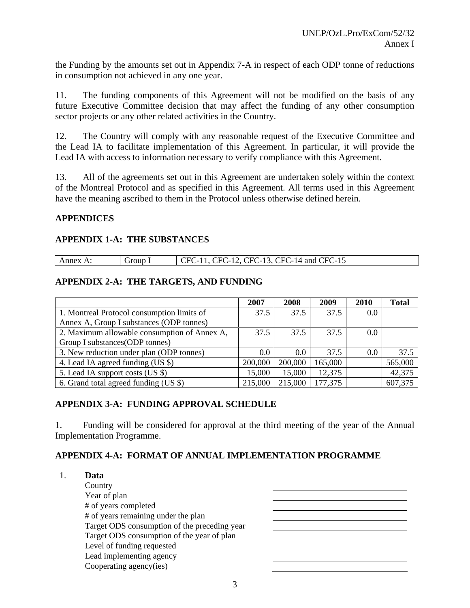the Funding by the amounts set out in Appendix 7-A in respect of each ODP tonne of reductions in consumption not achieved in any one year.

11. The funding components of this Agreement will not be modified on the basis of any future Executive Committee decision that may affect the funding of any other consumption sector projects or any other related activities in the Country.

12. The Country will comply with any reasonable request of the Executive Committee and the Lead IA to facilitate implementation of this Agreement. In particular, it will provide the Lead IA with access to information necessary to verify compliance with this Agreement.

13. All of the agreements set out in this Agreement are undertaken solely within the context of the Montreal Protocol and as specified in this Agreement. All terms used in this Agreement have the meaning ascribed to them in the Protocol unless otherwise defined herein.

### **APPENDICES**

### **APPENDIX 1-A: THE SUBSTANCES**

| Annex A: | Group 1 | $\vert$ CFC-11, CFC-12, CFC-13, CFC-14 and CFC-15 |
|----------|---------|---------------------------------------------------|

## **APPENDIX 2-A: THE TARGETS, AND FUNDING**

|                                              | 2007    | 2008    | 2009    | 2010 | <b>Total</b> |
|----------------------------------------------|---------|---------|---------|------|--------------|
| 1. Montreal Protocol consumption limits of   | 37.5    | 37.5    | 37.5    | 0.0  |              |
| Annex A, Group I substances (ODP tonnes)     |         |         |         |      |              |
| 2. Maximum allowable consumption of Annex A, | 37.5    | 37.5    | 37.5    | 0.0  |              |
| Group I substances (ODP tonnes)              |         |         |         |      |              |
| 3. New reduction under plan (ODP tonnes)     | 0.0     | 0.0     | 37.5    | 0.0  | 37.5         |
| 4. Lead IA agreed funding (US \$)            | 200,000 | 200,000 | 165,000 |      | 565,000      |
| 5. Lead IA support costs (US \$)             | 15,000  | 15,000  | 12,375  |      | 42,375       |
| 6. Grand total agreed funding (US \$)        | 215,000 | 215,000 | 177,375 |      | 607,375      |

## **APPENDIX 3-A: FUNDING APPROVAL SCHEDULE**

1. Funding will be considered for approval at the third meeting of the year of the Annual Implementation Programme.

## **APPENDIX 4-A: FORMAT OF ANNUAL IMPLEMENTATION PROGRAMME**

| Data                                         |  |
|----------------------------------------------|--|
| Country                                      |  |
| Year of plan                                 |  |
| # of years completed                         |  |
| # of years remaining under the plan          |  |
| Target ODS consumption of the preceding year |  |
| Target ODS consumption of the year of plan   |  |
| Level of funding requested                   |  |
| Lead implementing agency                     |  |
| Cooperating agency(ies)                      |  |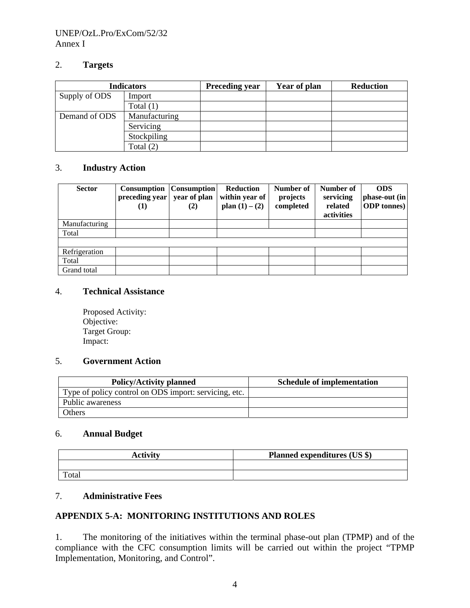#### UNEP/OzL.Pro/ExCom/52/32 Annex I

#### 2. **Targets**

| <b>Indicators</b> |               | <b>Preceding year</b> | Year of plan | <b>Reduction</b> |
|-------------------|---------------|-----------------------|--------------|------------------|
| Supply of ODS     | Import        |                       |              |                  |
|                   | Total $(1)$   |                       |              |                  |
| Demand of ODS     | Manufacturing |                       |              |                  |
|                   | Servicing     |                       |              |                  |
|                   | Stockpiling   |                       |              |                  |
|                   | Total $(2)$   |                       |              |                  |

### 3. **Industry Action**

| <b>Sector</b> | <b>Consumption</b><br>preceding year<br>(1) | <b>Consumption</b><br>year of plan<br>(2) | <b>Reduction</b><br>within year of<br>plan $(1) - (2)$ | Number of<br>projects<br>completed | Number of<br>servicing<br>related<br>activities | <b>ODS</b><br>phase-out (in<br><b>ODP</b> tonnes) |
|---------------|---------------------------------------------|-------------------------------------------|--------------------------------------------------------|------------------------------------|-------------------------------------------------|---------------------------------------------------|
| Manufacturing |                                             |                                           |                                                        |                                    |                                                 |                                                   |
| Total         |                                             |                                           |                                                        |                                    |                                                 |                                                   |
|               |                                             |                                           |                                                        |                                    |                                                 |                                                   |
| Refrigeration |                                             |                                           |                                                        |                                    |                                                 |                                                   |
| Total         |                                             |                                           |                                                        |                                    |                                                 |                                                   |
| Grand total   |                                             |                                           |                                                        |                                    |                                                 |                                                   |

### 4. **Technical Assistance**

Proposed Activity: Objective: Target Group: Impact:

## 5. **Government Action**

| <b>Policy/Activity planned</b>                        | <b>Schedule of implementation</b> |
|-------------------------------------------------------|-----------------------------------|
| Type of policy control on ODS import: servicing, etc. |                                   |
| Public awareness                                      |                                   |
| Others                                                |                                   |

#### 6. **Annual Budget**

| <b>Activity</b> | <b>Planned expenditures (US \$)</b> |
|-----------------|-------------------------------------|
|                 |                                     |
| Total           |                                     |

## 7. **Administrative Fees**

#### **APPENDIX 5-A: MONITORING INSTITUTIONS AND ROLES**

1. The monitoring of the initiatives within the terminal phase-out plan (TPMP) and of the compliance with the CFC consumption limits will be carried out within the project "TPMP Implementation, Monitoring, and Control".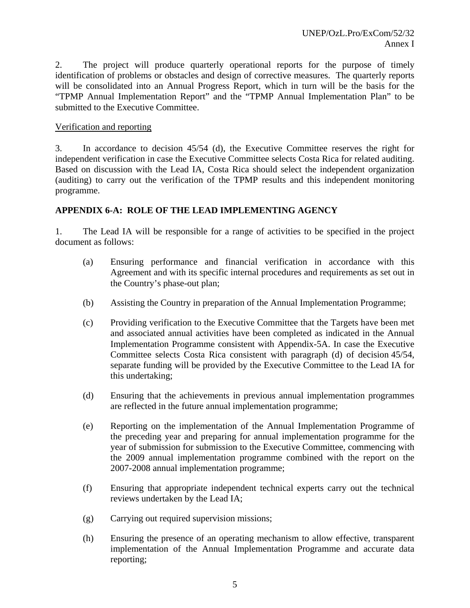2. The project will produce quarterly operational reports for the purpose of timely identification of problems or obstacles and design of corrective measures. The quarterly reports will be consolidated into an Annual Progress Report, which in turn will be the basis for the "TPMP Annual Implementation Report" and the "TPMP Annual Implementation Plan" to be submitted to the Executive Committee.

## Verification and reporting

3. In accordance to decision 45/54 (d), the Executive Committee reserves the right for independent verification in case the Executive Committee selects Costa Rica for related auditing. Based on discussion with the Lead IA, Costa Rica should select the independent organization (auditing) to carry out the verification of the TPMP results and this independent monitoring programme.

### **APPENDIX 6-A: ROLE OF THE LEAD IMPLEMENTING AGENCY**

1. The Lead IA will be responsible for a range of activities to be specified in the project document as follows:

- (a) Ensuring performance and financial verification in accordance with this Agreement and with its specific internal procedures and requirements as set out in the Country's phase-out plan;
- (b) Assisting the Country in preparation of the Annual Implementation Programme;
- (c) Providing verification to the Executive Committee that the Targets have been met and associated annual activities have been completed as indicated in the Annual Implementation Programme consistent with Appendix-5A. In case the Executive Committee selects Costa Rica consistent with paragraph (d) of decision 45/54, separate funding will be provided by the Executive Committee to the Lead IA for this undertaking;
- (d) Ensuring that the achievements in previous annual implementation programmes are reflected in the future annual implementation programme;
- (e) Reporting on the implementation of the Annual Implementation Programme of the preceding year and preparing for annual implementation programme for the year of submission for submission to the Executive Committee, commencing with the 2009 annual implementation programme combined with the report on the 2007-2008 annual implementation programme;
- (f) Ensuring that appropriate independent technical experts carry out the technical reviews undertaken by the Lead IA;
- (g) Carrying out required supervision missions;
- (h) Ensuring the presence of an operating mechanism to allow effective, transparent implementation of the Annual Implementation Programme and accurate data reporting;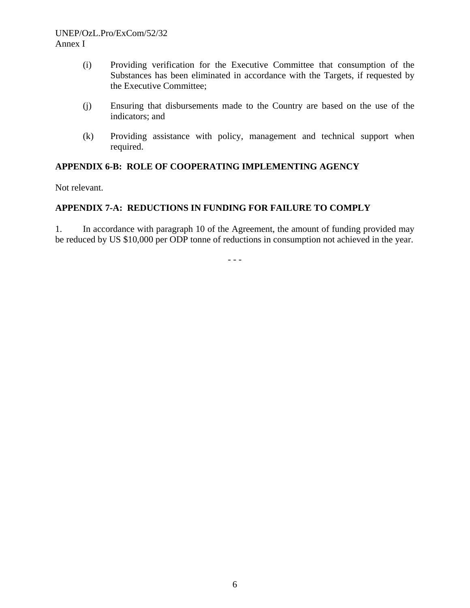- (i) Providing verification for the Executive Committee that consumption of the Substances has been eliminated in accordance with the Targets, if requested by the Executive Committee;
- (j) Ensuring that disbursements made to the Country are based on the use of the indicators; and
- (k) Providing assistance with policy, management and technical support when required.

## **APPENDIX 6-B: ROLE OF COOPERATING IMPLEMENTING AGENCY**

Not relevant.

## **APPENDIX 7-A: REDUCTIONS IN FUNDING FOR FAILURE TO COMPLY**

1. In accordance with paragraph 10 of the Agreement, the amount of funding provided may be reduced by US \$10,000 per ODP tonne of reductions in consumption not achieved in the year.

- - -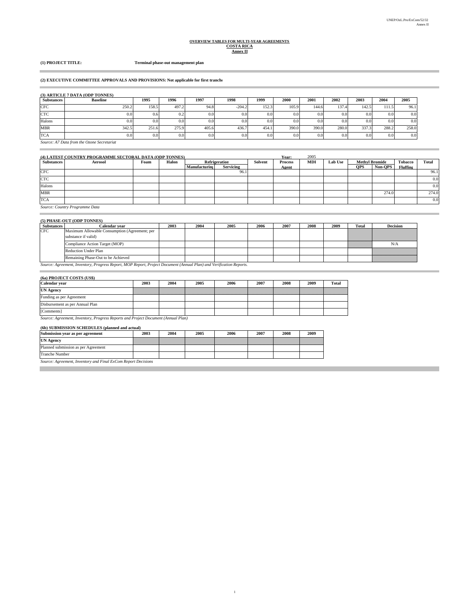# **OVERVIEW TABLES FOR MULTI-YEAR AGREEMENTS COSTA RICA Annex II**

#### **(1) PROJECT TITLE: Terminal phase-out management plan**

#### **(2) EXECUTIVE COMMITTEE APPROVALS AND PROVISIONS: Not applicable for first tranche**

|                   | (3) ARTICLE 7 DATA (ODP TONNES) |       |                  |       |          |       |       |       |       |       |                  |       |
|-------------------|---------------------------------|-------|------------------|-------|----------|-------|-------|-------|-------|-------|------------------|-------|
| <b>Substances</b> | <b>Baseline</b>                 | 1995  | 1996             | 1997  | 1998     | 1999  | 2000  | 2001  | 2002  | 2003  | 2004             | 2005  |
| <b>CFC</b>        | 250.2                           | 158.5 | 497.2            | 94.8  | $-204.2$ | 152.3 | 105.9 | 144.6 | 137.4 | 142.5 | 111.5            | 96.1  |
| <b>CTC</b>        | 0.0                             | 0.6   | 0.2              | 0.0   | 0.0      | 0.0   | 0.0   | 0.0   | 0.0   | 0.0   | 0.0 <sub>1</sub> | 0.0   |
| Halons            | 0.0                             | 0.0   | 0.0 <sub>1</sub> | 0.0   | 0.0      | 0.0   | 0.0   | 0.0   | 0.0   | 0.0   | 0.0 <sub>1</sub> | 0.0   |
| <b>MBR</b>        | 342.5                           | 251.6 | 275.9            | 405.6 | 436.7    | 454.1 | 390.0 | 390.0 | 280.0 | 337.3 | 288.2            | 258.0 |
| <b>TCA</b>        | 0.0                             | 0.0   | 0.0 <sub>1</sub> | 0.0   | 0.0      | 0.0   | 0.0   | 0.0   | 0.0   | 0.0   | 0.0 <sub>1</sub> | 0.0   |

*Source: A7 Data from the Ozone Secretariat*

|                   | (4) LATEST COUNTRY PROGRAMME SECTORAL DATA (ODP TONNES)                            |      |       |                      |                  |         | Year:          | 2005       |                |                       |         |          |       |
|-------------------|------------------------------------------------------------------------------------|------|-------|----------------------|------------------|---------|----------------|------------|----------------|-----------------------|---------|----------|-------|
| <b>Substances</b> | <b>Aerosol</b>                                                                     | Foam | Halon |                      | Refrigeration    | Solvent | <b>Process</b> | <b>MDI</b> | <b>Lab Use</b> | <b>Methyl Bromide</b> |         | Tobacco  | Total |
|                   |                                                                                    |      |       | <b>Manufacturing</b> | <b>Servicing</b> |         | Agent          |            |                | <b>OPS</b>            | Non-OPS | Fluffing |       |
| <b>CFC</b>        |                                                                                    |      |       |                      | 96.1             |         |                |            |                |                       |         |          | 96.1  |
| <b>CTC</b>        |                                                                                    |      |       |                      |                  |         |                |            |                |                       |         |          | 0.0   |
| Halons            |                                                                                    |      |       |                      |                  |         |                |            |                |                       |         |          | 0.0   |
| <b>MBR</b>        |                                                                                    |      |       |                      |                  |         |                |            |                |                       | 274.0   |          | 274.0 |
| <b>TCA</b>        |                                                                                    |      |       |                      |                  |         |                |            |                |                       |         |          | 0.0   |
|                   | $C_{\text{outflow}}$ $C_{\text{outflow}}$ $D_{\text{inflow}}$ $D_{\text{outflow}}$ |      |       |                      |                  |         |                |            |                |                       |         |          |       |

#### *Source: Country Programme Data*

#### **(5) PHASE-OUT (ODP TONNES)**

| <b>Substances</b> | Calendar vear                                                                                                       | 2003 | 2004 | 2005 | 2006 | 2007 | 2008 | 2009 | Total | <b>Decision</b> |
|-------------------|---------------------------------------------------------------------------------------------------------------------|------|------|------|------|------|------|------|-------|-----------------|
| CFC               | Maximum Allowable Consumption (Agreement; per<br>substance if valid)                                                |      |      |      |      |      |      |      |       |                 |
|                   | Compliance Action Target (MOP)                                                                                      |      |      |      |      |      |      |      |       | N/A             |
|                   | <b>Reduction Under Plan</b>                                                                                         |      |      |      |      |      |      |      |       |                 |
|                   | Remaining Phase-Out to be Achieved                                                                                  |      |      |      |      |      |      |      |       |                 |
|                   | Source: Agreement, Inventory, Progress Report, MOP Report, Project Document (Annual Plan) and Verification Reports. |      |      |      |      |      |      |      |       |                 |

1

#### **(6a) PROJECT COSTS (US\$)**

×

| Calendar year                   | 2003 | 2004  | 2005             | 2006 | 2007 | 2008 | 2009 | Total |
|---------------------------------|------|-------|------------------|------|------|------|------|-------|
| <b>UN Agency</b>                |      | Milli | <u>samaan ku</u> |      |      |      |      |       |
| Funding as per Agreement        |      |       |                  |      |      |      |      |       |
| Disbursement as per Annual Plan |      |       |                  |      |      |      |      |       |
| [Comments]                      |      |       |                  |      |      |      |      |       |

*Source: Agreement, Inventory, Progress Reports and Project Document (Annual Plan)*

#### **(6b) SUBMISSION SCHEDULES (planned and actual)**

| Submission year as per agreement    | 2003 | 2004 | 2005 | 2006 | 2007 | 2008 | 2009 |
|-------------------------------------|------|------|------|------|------|------|------|
| <b>UN Agency</b>                    |      |      |      |      |      |      |      |
| Planned submission as per Agreement |      |      |      |      |      |      |      |
| <b>Tranche Number</b>               |      |      |      |      |      |      |      |
| $\sigma$ is the theory of $\sigma$  |      |      |      |      |      |      |      |

*Source: Agreement, Inventory and Final ExCom Report Decisions*